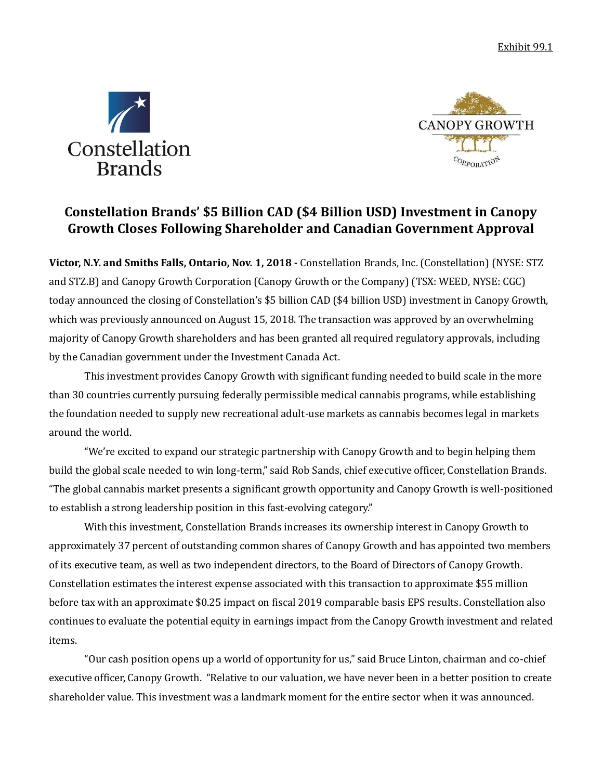



# **Constellation Brands' \$5 Billion CAD (\$4 Billion USD) Investment in Canopy Growth Closes Following Shareholder and Canadian Government Approval**

**Victor, N.Y. and Smiths Falls, Ontario, Nov. 1, 2018 -** Constellation Brands, Inc. (Constellation) (NYSE: STZ and STZ.B) and Canopy Growth Corporation (Canopy Growth or the Company) (TSX: WEED, NYSE: CGC) today announced the closing of Constellation's \$5 billion CAD (\$4 billion USD) investment in Canopy Growth, which was previously announced on August 15, 2018. The transaction was approved by an overwhelming majority of Canopy Growth shareholders and has been granted all required regulatory approvals, including by the Canadian government under the Investment Canada Act.

This investment provides Canopy Growth with significant funding needed to build scale in the more than 30 countries currently pursuing federally permissible medical cannabis programs, while establishing the foundation needed to supply new recreational adult-use markets as cannabis becomes legal in markets around the world.

"We're excited to expand our strategic partnership with Canopy Growth and to begin helping them build the global scale needed to win long-term," said Rob Sands, chief executive officer, Constellation Brands. "The global cannabis market presents a significant growth opportunity and Canopy Growth is well-positioned to establish a strong leadership position in this fast-evolving category."

With this investment, Constellation Brands increases its ownership interest in Canopy Growth to approximately 37 percent of outstanding common shares of Canopy Growth and has appointed two members of its executive team, as well as two independent directors, to the Board of Directors of Canopy Growth. Constellation estimates the interest expense associated with this transaction to approximate \$55 million before tax with an approximate \$0.25 impact on fiscal 2019 comparable basis EPS results. Constellation also continues to evaluate the potential equity in earnings impact from the Canopy Growth investment and related items.

"Our cash position opens up a world of opportunity for us," said Bruce Linton, chairman and co-chief executive officer, Canopy Growth. "Relative to our valuation, we have never been in a better position to create shareholder value. This investment was a landmark moment for the entire sector when it was announced.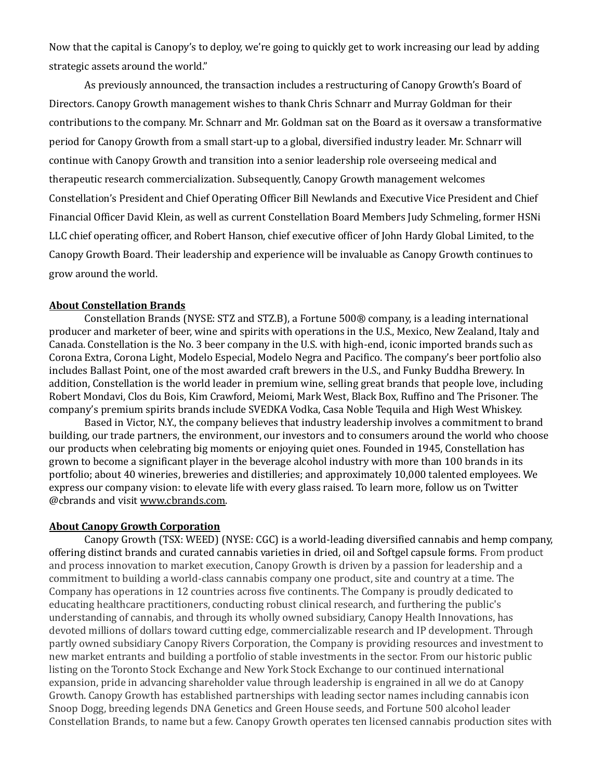Now that the capital is Canopy's to deploy, we're going to quickly get to work increasing our lead by adding strategic assets around the world."

As previously announced, the transaction includes a restructuring of Canopy Growth's Board of Directors. Canopy Growth management wishes to thank Chris Schnarr and Murray Goldman for their contributions to the company. Mr. Schnarr and Mr. Goldman sat on the Board as it oversaw a transformative period for Canopy Growth from a small start-up to a global, diversified industry leader. Mr. Schnarr will continue with Canopy Growth and transition into a senior leadership role overseeing medical and therapeutic research commercialization. Subsequently, Canopy Growth management welcomes Constellation's President and Chief Operating Officer Bill Newlands and Executive Vice President and Chief Financial Officer David Klein, as well as current Constellation Board Members Judy Schmeling, former HSNi LLC chief operating officer, and Robert Hanson, chief executive officer of John Hardy Global Limited, to the Canopy Growth Board. Their leadership and experience will be invaluable as Canopy Growth continues to grow around the world.

#### **About Constellation Brands**

Constellation Brands (NYSE: STZ and STZ.B), a Fortune 500® company, is a leading international producer and marketer of beer, wine and spirits with operations in the U.S., Mexico, New Zealand, Italy and Canada. Constellation is the No. 3 beer company in the U.S. with high-end, iconic imported brands such as Corona Extra, Corona Light, Modelo Especial, Modelo Negra and Pacifico. The company's beer portfolio also includes Ballast Point, one of the most awarded craft brewers in the U.S., and Funky Buddha Brewery. In addition, Constellation is the world leader in premium wine, selling great brands that people love, including Robert Mondavi, Clos du Bois, Kim Crawford, Meiomi, Mark West, Black Box, Ruffino and The Prisoner. The company's premium spirits brands include SVEDKA Vodka, Casa Noble Tequila and High West Whiskey.

Based in Victor, N.Y., the company believes that industry leadership involves a commitment to brand building, our trade partners, the environment, our investors and to consumers around the world who choose our products when celebrating big moments or enjoying quiet ones. Founded in 1945, Constellation has grown to become a significant player in the beverage alcohol industry with more than 100 brands in its portfolio; about 40 wineries, breweries and distilleries; and approximately 10,000 talented employees. We express our company vision: to elevate life with every glass raised. To learn more, follow us on Twitter @cbrands and visit www.cbrands.com.

#### **About Canopy Growth Corporation**

Canopy Growth (TSX: WEED) (NYSE: CGC) is a world-leading diversified cannabis and hemp company, offering distinct brands and curated cannabis varieties in dried, oil and Softgel capsule forms. From product and process innovation to market execution, Canopy Growth is driven by a passion for leadership and a commitment to building a world-class cannabis company one product, site and country at a time. The Company has operations in 12 countries across five continents. The Company is proudly dedicated to educating healthcare practitioners, conducting robust clinical research, and furthering the public's understanding of cannabis, and through its wholly owned subsidiary, Canopy Health Innovations, has devoted millions of dollars toward cutting edge, commercializable research and IP development. Through partly owned subsidiary Canopy Rivers Corporation, the Company is providing resources and investment to new market entrants and building a portfolio of stable investments in the sector. From our historic public listing on the Toronto Stock Exchange and New York Stock Exchange to our continued international expansion, pride in advancing shareholder value through leadership is engrained in all we do at Canopy Growth. Canopy Growth has established partnerships with leading sector names including cannabis icon Snoop Dogg, breeding legends DNA Genetics and Green House seeds, and Fortune 500 alcohol leader Constellation Brands, to name but a few. Canopy Growth operates ten licensed cannabis production sites with